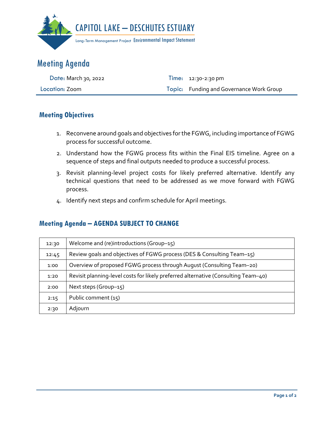

## Meeting Agenda

| <b>Date: March 30, 2022</b> | Time: $12:30-2:30 \text{ pm}$            |
|-----------------------------|------------------------------------------|
| Location: Zoom              | Topic: Funding and Governance Work Group |

## **Meeting Objectives**

- 1. Reconvene around goals and objectives for the FGWG, including importance of FGWG process for successful outcome.
- 2. Understand how the FGWG process fits within the Final EIS timeline. Agree on a sequence of steps and final outputs needed to produce a successful process.
- 3. Revisit planning-level project costs for likely preferred alternative. Identify any technical questions that need to be addressed as we move forward with FGWG process.
- 4. Identify next steps and confirm schedule for April meetings.

## **Meeting Agenda – AGENDA SUBJECT TO CHANGE**

| 12:30 | Welcome and (re)introductions (Group-15)                                           |
|-------|------------------------------------------------------------------------------------|
| 12:45 | Review goals and objectives of FGWG process (DES & Consulting Team-15)             |
| 1:00  | Overview of proposed FGWG process through August (Consulting Team-20)              |
| 1:20  | Revisit planning-level costs for likely preferred alternative (Consulting Team-40) |
| 2:00  | Next steps (Group-15)                                                              |
| 2:15  | Public comment (15)                                                                |
| 2:30  | Adjourn                                                                            |